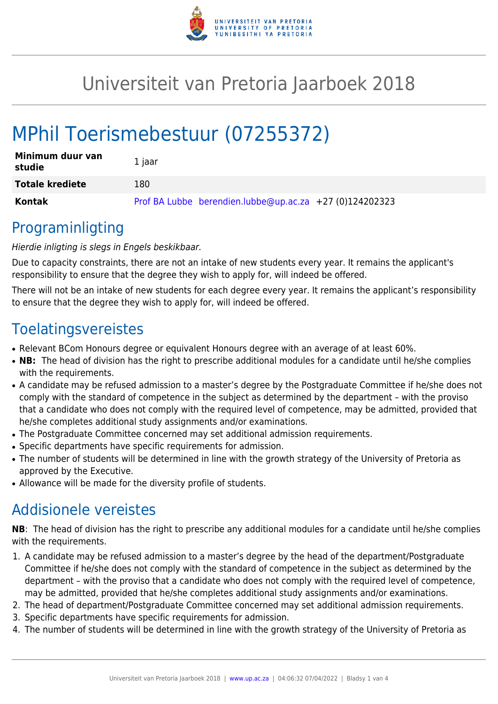

## Universiteit van Pretoria Jaarboek 2018

# MPhil Toerismebestuur (07255372)

| Minimum duur van<br>studie | 1 jaar                                                  |
|----------------------------|---------------------------------------------------------|
| <b>Totale krediete</b>     | 180                                                     |
| Kontak                     | Prof BA Lubbe berendien.lubbe@up.ac.za +27 (0)124202323 |

### Programinligting

#### Hierdie inligting is slegs in Engels beskikbaar.

Due to capacity constraints, there are not an intake of new students every year. It remains the applicant's responsibility to ensure that the degree they wish to apply for, will indeed be offered.

There will not be an intake of new students for each degree every year. It remains the applicant's responsibility to ensure that the degree they wish to apply for, will indeed be offered.

### **Toelatingsvereistes**

- Relevant BCom Honours degree or equivalent Honours degree with an average of at least 60%.
- NB: The head of division has the right to prescribe additional modules for a candidate until he/she complies with the requirements.
- A candidate may be refused admission to a master's degree by the Postgraduate Committee if he/she does not comply with the standard of competence in the subject as determined by the department – with the proviso that a candidate who does not comply with the required level of competence, may be admitted, provided that he/she completes additional study assignments and/or examinations.
- The Postgraduate Committee concerned may set additional admission requirements.
- Specific departments have specific requirements for admission.
- The number of students will be determined in line with the growth strategy of the University of Pretoria as approved by the Executive.
- Allowance will be made for the diversity profile of students.

### Addisionele vereistes

**NB**: The head of division has the right to prescribe any additional modules for a candidate until he/she complies with the requirements.

- 1. A candidate may be refused admission to a master's degree by the head of the department/Postgraduate Committee if he/she does not comply with the standard of competence in the subject as determined by the department – with the proviso that a candidate who does not comply with the required level of competence, may be admitted, provided that he/she completes additional study assignments and/or examinations.
- 2. The head of department/Postgraduate Committee concerned may set additional admission requirements.
- 3. Specific departments have specific requirements for admission.
- 4. The number of students will be determined in line with the growth strategy of the University of Pretoria as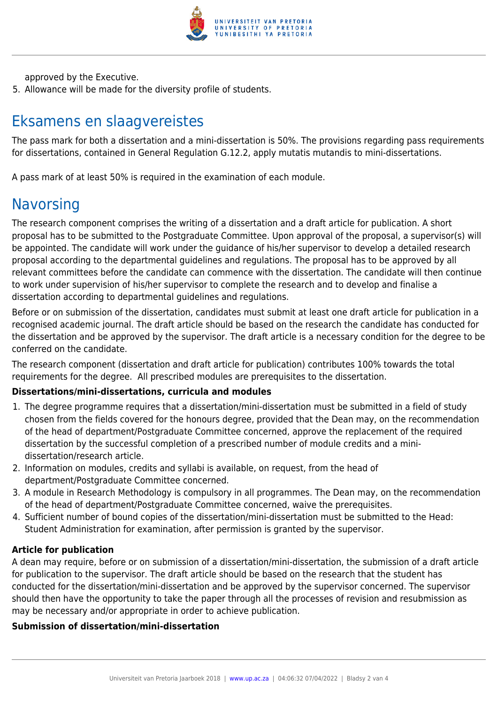

approved by the Executive.

5. Allowance will be made for the diversity profile of students.

### Eksamens en slaagvereistes

The pass mark for both a dissertation and a mini-dissertation is 50%. The provisions regarding pass requirements for dissertations, contained in General Regulation G.12.2, apply mutatis mutandis to mini-dissertations.

A pass mark of at least 50% is required in the examination of each module.

### **Navorsing**

The research component comprises the writing of a dissertation and a draft article for publication. A short proposal has to be submitted to the Postgraduate Committee. Upon approval of the proposal, a supervisor(s) will be appointed. The candidate will work under the guidance of his/her supervisor to develop a detailed research proposal according to the departmental guidelines and regulations. The proposal has to be approved by all relevant committees before the candidate can commence with the dissertation. The candidate will then continue to work under supervision of his/her supervisor to complete the research and to develop and finalise a dissertation according to departmental guidelines and regulations.

Before or on submission of the dissertation, candidates must submit at least one draft article for publication in a recognised academic journal. The draft article should be based on the research the candidate has conducted for the dissertation and be approved by the supervisor. The draft article is a necessary condition for the degree to be conferred on the candidate.

The research component (dissertation and draft article for publication) contributes 100% towards the total requirements for the degree. All prescribed modules are prerequisites to the dissertation.

#### **Dissertations/mini-dissertations, curricula and modules**

- 1. The degree programme requires that a dissertation/mini-dissertation must be submitted in a field of study chosen from the fields covered for the honours degree, provided that the Dean may, on the recommendation of the head of department/Postgraduate Committee concerned, approve the replacement of the required dissertation by the successful completion of a prescribed number of module credits and a minidissertation/research article.
- 2. Information on modules, credits and syllabi is available, on request, from the head of department/Postgraduate Committee concerned.
- 3. A module in Research Methodology is compulsory in all programmes. The Dean may, on the recommendation of the head of department/Postgraduate Committee concerned, waive the prerequisites.
- 4. Sufficient number of bound copies of the dissertation/mini-dissertation must be submitted to the Head: Student Administration for examination, after permission is granted by the supervisor.

#### **Article for publication**

A dean may require, before or on submission of a dissertation/mini-dissertation, the submission of a draft article for publication to the supervisor. The draft article should be based on the research that the student has conducted for the dissertation/mini-dissertation and be approved by the supervisor concerned. The supervisor should then have the opportunity to take the paper through all the processes of revision and resubmission as may be necessary and/or appropriate in order to achieve publication.

#### **Submission of dissertation/mini-dissertation**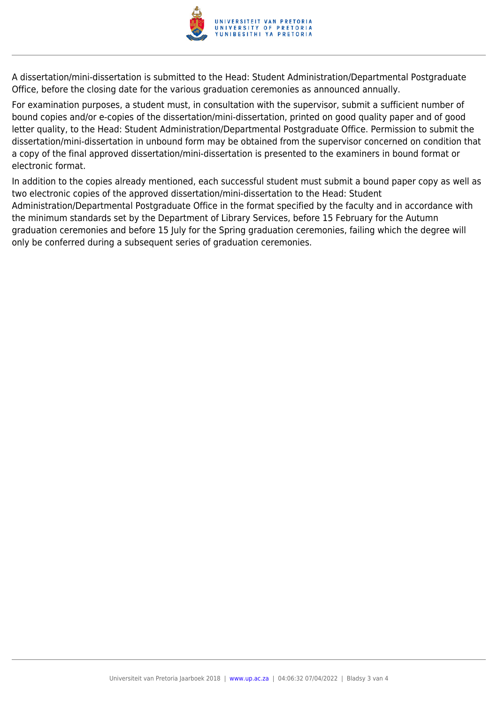

A dissertation/mini-dissertation is submitted to the Head: Student Administration/Departmental Postgraduate Office, before the closing date for the various graduation ceremonies as announced annually.

For examination purposes, a student must, in consultation with the supervisor, submit a sufficient number of bound copies and/or e-copies of the dissertation/mini-dissertation, printed on good quality paper and of good letter quality, to the Head: Student Administration/Departmental Postgraduate Office. Permission to submit the dissertation/mini-dissertation in unbound form may be obtained from the supervisor concerned on condition that a copy of the final approved dissertation/mini-dissertation is presented to the examiners in bound format or electronic format.

In addition to the copies already mentioned, each successful student must submit a bound paper copy as well as two electronic copies of the approved dissertation/mini-dissertation to the Head: Student Administration/Departmental Postgraduate Office in the format specified by the faculty and in accordance with the minimum standards set by the Department of Library Services, before 15 February for the Autumn graduation ceremonies and before 15 July for the Spring graduation ceremonies, failing which the degree will only be conferred during a subsequent series of graduation ceremonies.